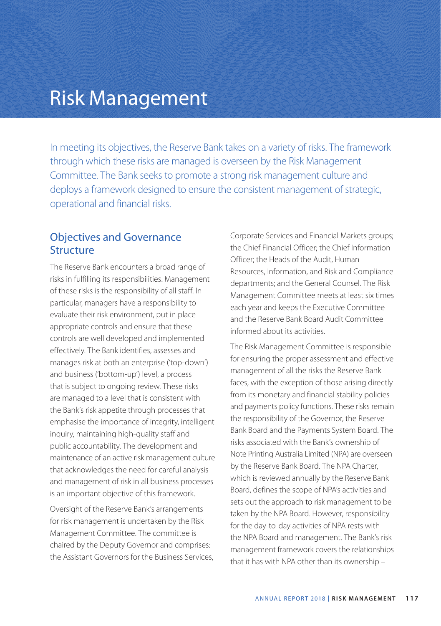# Risk Management

In meeting its objectives, the Reserve Bank takes on a variety of risks. The framework through which these risks are managed is overseen by the Risk Management Committee. The Bank seeks to promote a strong risk management culture and deploys a framework designed to ensure the consistent management of strategic, operational and financial risks.

### Objectives and Governance **Structure**

The Reserve Bank encounters a broad range of risks in fulfilling its responsibilities. Management of these risks is the responsibility of all staff. In particular, managers have a responsibility to evaluate their risk environment, put in place appropriate controls and ensure that these controls are well developed and implemented effectively. The Bank identifies, assesses and manages risk at both an enterprise ('top-down') and business ('bottom-up') level, a process that is subject to ongoing review. These risks are managed to a level that is consistent with the Bank's risk appetite through processes that emphasise the importance of integrity, intelligent inquiry, maintaining high-quality staff and public accountability. The development and maintenance of an active risk management culture that acknowledges the need for careful analysis and management of risk in all business processes is an important objective of this framework.

Oversight of the Reserve Bank's arrangements for risk management is undertaken by the Risk Management Committee. The committee is chaired by the Deputy Governor and comprises: the Assistant Governors for the Business Services, Corporate Services and Financial Markets groups; the Chief Financial Officer; the Chief Information Officer; the Heads of the Audit, Human Resources, Information, and Risk and Compliance departments; and the General Counsel. The Risk Management Committee meets at least six times each year and keeps the Executive Committee and the Reserve Bank Board Audit Committee informed about its activities.

The Risk Management Committee is responsible for ensuring the proper assessment and effective management of all the risks the Reserve Bank faces, with the exception of those arising directly from its monetary and financial stability policies and payments policy functions. These risks remain the responsibility of the Governor, the Reserve Bank Board and the Payments System Board. The risks associated with the Bank's ownership of Note Printing Australia Limited (NPA) are overseen by the Reserve Bank Board. The NPA Charter, which is reviewed annually by the Reserve Bank Board, defines the scope of NPA's activities and sets out the approach to risk management to be taken by the NPA Board. However, responsibility for the day-to-day activities of NPA rests with the NPA Board and management. The Bank's risk management framework covers the relationships that it has with NPA other than its ownership –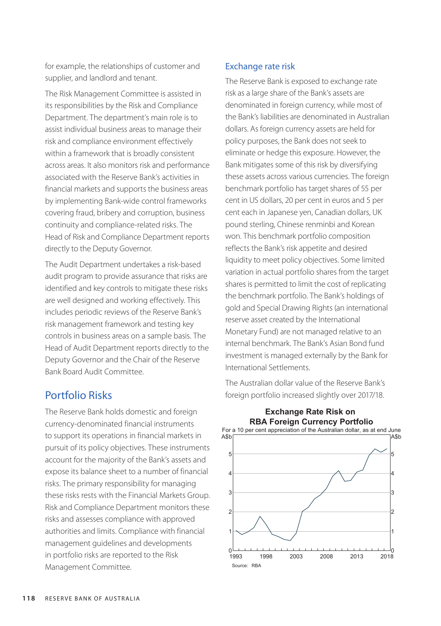for example, the relationships of customer and supplier, and landlord and tenant.

The Risk Management Committee is assisted in its responsibilities by the Risk and Compliance Department. The department's main role is to assist individual business areas to manage their risk and compliance environment effectively within a framework that is broadly consistent across areas. It also monitors risk and performance associated with the Reserve Bank's activities in financial markets and supports the business areas by implementing Bank-wide control frameworks covering fraud, bribery and corruption, business continuity and compliance-related risks. The Head of Risk and Compliance Department reports directly to the Deputy Governor.

The Audit Department undertakes a risk-based audit program to provide assurance that risks are identified and key controls to mitigate these risks are well designed and working effectively. This includes periodic reviews of the Reserve Bank's risk management framework and testing key controls in business areas on a sample basis. The Head of Audit Department reports directly to the Deputy Governor and the Chair of the Reserve Bank Board Audit Committee.

### Portfolio Risks

The Reserve Bank holds domestic and foreign currency-denominated financial instruments to support its operations in financial markets in pursuit of its policy objectives. These instruments account for the majority of the Bank's assets and expose its balance sheet to a number of financial risks. The primary responsibility for managing these risks rests with the Financial Markets Group. Risk and Compliance Department monitors these risks and assesses compliance with approved authorities and limits. Compliance with financial management guidelines and developments in portfolio risks are reported to the Risk Management Committee.

#### Exchange rate risk

The Reserve Bank is exposed to exchange rate risk as a large share of the Bank's assets are denominated in foreign currency, while most of the Bank's liabilities are denominated in Australian dollars. As foreign currency assets are held for policy purposes, the Bank does not seek to eliminate or hedge this exposure. However, the Bank mitigates some of this risk by diversifying these assets across various currencies. The foreign benchmark portfolio has target shares of 55 per cent in US dollars, 20 per cent in euros and 5 per cent each in Japanese yen, Canadian dollars, UK pound sterling, Chinese renminbi and Korean won. This benchmark portfolio composition reflects the Bank's risk appetite and desired liquidity to meet policy objectives. Some limited variation in actual portfolio shares from the target shares is permitted to limit the cost of replicating the benchmark portfolio. The Bank's holdings of gold and Special Drawing Rights (an international reserve asset created by the International Monetary Fund) are not managed relative to an internal benchmark. The Bank's Asian Bond fund investment is managed externally by the Bank for International Settlements.

The Australian dollar value of the Reserve Bank's foreign portfolio increased slightly over 2017/18.

**Exchange Rate Risk on**



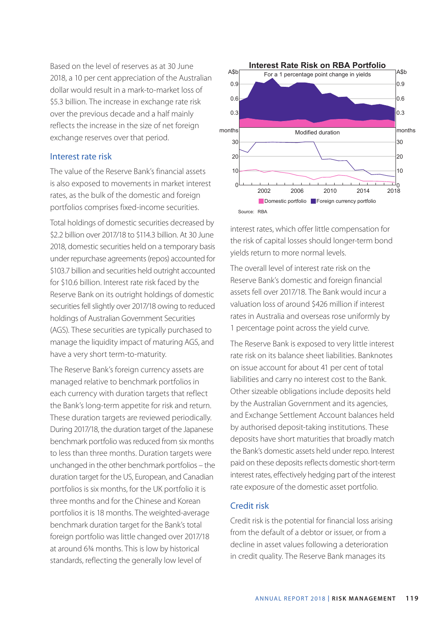Based on the level of reserves as at 30 June 2018, a 10 per cent appreciation of the Australian dollar would result in a mark-to-market loss of \$5.3 billion. The increase in exchange rate risk over the previous decade and a half mainly reflects the increase in the size of net foreign exchange reserves over that period.

#### Interest rate risk

The value of the Reserve Bank's financial assets is also exposed to movements in market interest rates, as the bulk of the domestic and foreign portfolios comprises fixed-income securities.

Total holdings of domestic securities decreased by \$2.2 billion over 2017/18 to \$114.3 billion. At 30 June 2018, domestic securities held on a temporary basis under repurchase agreements (repos) accounted for \$103.7 billion and securities held outright accounted for \$10.6 billion. Interest rate risk faced by the Reserve Bank on its outright holdings of domestic securities fell slightly over 2017/18 owing to reduced holdings of Australian Government Securities (AGS). These securities are typically purchased to manage the liquidity impact of maturing AGS, and have a very short term-to-maturity.

The Reserve Bank's foreign currency assets are managed relative to benchmark portfolios in each currency with duration targets that reflect the Bank's long-term appetite for risk and return. These duration targets are reviewed periodically. During 2017/18, the duration target of the Japanese benchmark portfolio was reduced from six months to less than three months. Duration targets were unchanged in the other benchmark portfolios – the duration target for the US, European, and Canadian portfolios is six months, for the UK portfolio it is three months and for the Chinese and Korean portfolios it is 18 months. The weighted-average benchmark duration target for the Bank's total foreign portfolio was little changed over 2017/18 at around 6¾ months. This is low by historical standards, reflecting the generally low level of



interest rates, which offer little compensation for the risk of capital losses should longer-term bond yields return to more normal levels.

The overall level of interest rate risk on the Reserve Bank's domestic and foreign financial assets fell over 2017/18. The Bank would incur a valuation loss of around \$426 million if interest rates in Australia and overseas rose uniformly by 1 percentage point across the yield curve.

The Reserve Bank is exposed to very little interest rate risk on its balance sheet liabilities. Banknotes on issue account for about 41 per cent of total liabilities and carry no interest cost to the Bank. Other sizeable obligations include deposits held by the Australian Government and its agencies, and Exchange Settlement Account balances held by authorised deposit-taking institutions. These deposits have short maturities that broadly match the Bank's domestic assets held under repo. Interest paid on these deposits reflects domestic short-term interest rates, effectively hedging part of the interest rate exposure of the domestic asset portfolio.

#### Credit risk

Credit risk is the potential for financial loss arising from the default of a debtor or issuer, or from a decline in asset values following a deterioration in credit quality. The Reserve Bank manages its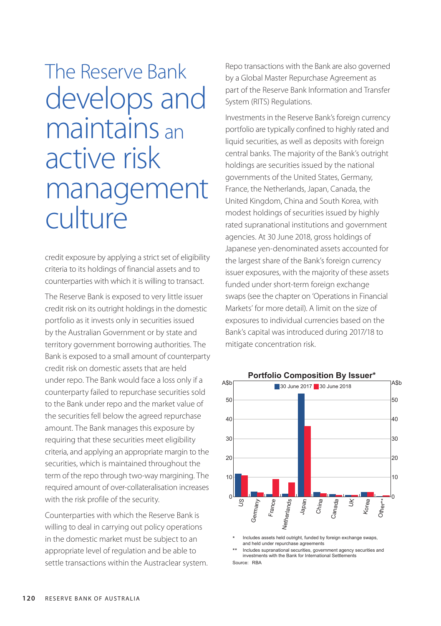# The Reserve Bank develops and maintains an active risk management culture

credit exposure by applying a strict set of eligibility criteria to its holdings of financial assets and to counterparties with which it is willing to transact.

The Reserve Bank is exposed to very little issuer credit risk on its outright holdings in the domestic portfolio as it invests only in securities issued by the Australian Government or by state and territory government borrowing authorities. The Bank is exposed to a small amount of counterparty credit risk on domestic assets that are held under repo. The Bank would face a loss only if a counterparty failed to repurchase securities sold to the Bank under repo and the market value of the securities fell below the agreed repurchase amount. The Bank manages this exposure by requiring that these securities meet eligibility criteria, and applying an appropriate margin to the securities, which is maintained throughout the term of the repo through two-way margining. The required amount of over-collateralisation increases with the risk profile of the security.

Counterparties with which the Reserve Bank is willing to deal in carrying out policy operations in the domestic market must be subject to an appropriate level of regulation and be able to settle transactions within the Austraclear system. Repo transactions with the Bank are also governed by a Global Master Repurchase Agreement as part of the Reserve Bank Information and Transfer System (RITS) Regulations.

Investments in the Reserve Bank's foreign currency portfolio are typically confined to highly rated and liquid securities, as well as deposits with foreign central banks. The majority of the Bank's outright holdings are securities issued by the national governments of the United States, Germany, France, the Netherlands, Japan, Canada, the United Kingdom, China and South Korea, with modest holdings of securities issued by highly rated supranational institutions and government agencies. At 30 June 2018, gross holdings of Japanese yen-denominated assets accounted for the largest share of the Bank's foreign currency issuer exposures, with the majority of these assets funded under short-term foreign exchange swaps (see the chapter on 'Operations in Financial Markets' for more detail). A limit on the size of exposures to individual currencies based on the Bank's capital was introduced during 2017/18 to mitigate concentration risk.



Includes assets held outright, funded by foreign exchange swaps, and held under repurchase agreements

\*\* Includes supranational securities, government agency securities and investments with the Bank for International Settlements Source: RBA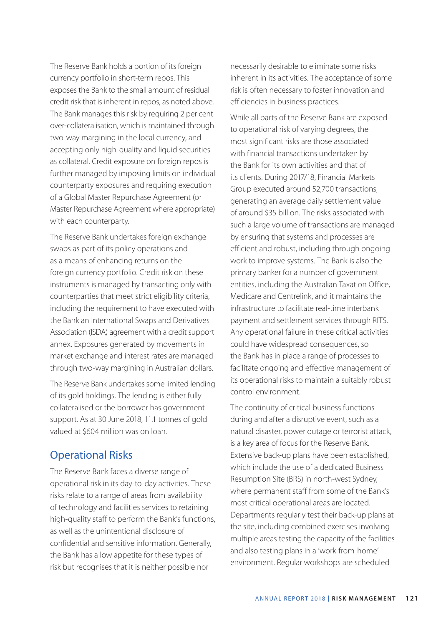The Reserve Bank holds a portion of its foreign currency portfolio in short-term repos. This exposes the Bank to the small amount of residual credit risk that is inherent in repos, as noted above. The Bank manages this risk by requiring 2 per cent over-collateralisation, which is maintained through two-way margining in the local currency, and accepting only high-quality and liquid securities as collateral. Credit exposure on foreign repos is further managed by imposing limits on individual counterparty exposures and requiring execution of a Global Master Repurchase Agreement (or Master Repurchase Agreement where appropriate) with each counterparty.

The Reserve Bank undertakes foreign exchange swaps as part of its policy operations and as a means of enhancing returns on the foreign currency portfolio. Credit risk on these instruments is managed by transacting only with counterparties that meet strict eligibility criteria, including the requirement to have executed with the Bank an International Swaps and Derivatives Association (ISDA) agreement with a credit support annex. Exposures generated by movements in market exchange and interest rates are managed through two-way margining in Australian dollars.

The Reserve Bank undertakes some limited lending of its gold holdings. The lending is either fully collateralised or the borrower has government support. As at 30 June 2018, 11.1 tonnes of gold valued at \$604 million was on loan.

## Operational Risks

The Reserve Bank faces a diverse range of operational risk in its day-to-day activities. These risks relate to a range of areas from availability of technology and facilities services to retaining high-quality staff to perform the Bank's functions, as well as the unintentional disclosure of confidential and sensitive information. Generally, the Bank has a low appetite for these types of risk but recognises that it is neither possible nor

necessarily desirable to eliminate some risks inherent in its activities. The acceptance of some risk is often necessary to foster innovation and efficiencies in business practices.

While all parts of the Reserve Bank are exposed to operational risk of varying degrees, the most significant risks are those associated with financial transactions undertaken by the Bank for its own activities and that of its clients. During 2017/18, Financial Markets Group executed around 52,700 transactions, generating an average daily settlement value of around \$35 billion. The risks associated with such a large volume of transactions are managed by ensuring that systems and processes are efficient and robust, including through ongoing work to improve systems. The Bank is also the primary banker for a number of government entities, including the Australian Taxation Office, Medicare and Centrelink, and it maintains the infrastructure to facilitate real-time interbank payment and settlement services through RITS. Any operational failure in these critical activities could have widespread consequences, so the Bank has in place a range of processes to facilitate ongoing and effective management of its operational risks to maintain a suitably robust control environment.

The continuity of critical business functions during and after a disruptive event, such as a natural disaster, power outage or terrorist attack, is a key area of focus for the Reserve Bank. Extensive back-up plans have been established, which include the use of a dedicated Business Resumption Site (BRS) in north-west Sydney, where permanent staff from some of the Bank's most critical operational areas are located. Departments regularly test their back-up plans at the site, including combined exercises involving multiple areas testing the capacity of the facilities and also testing plans in a 'work-from-home' environment. Regular workshops are scheduled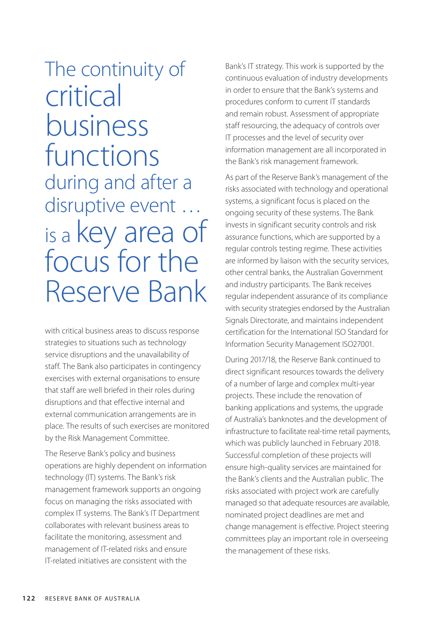# The continuity of critical business functions during and after a disruptive event … is a key area of focus for the Reserve Bank

with critical business areas to discuss response strategies to situations such as technology service disruptions and the unavailability of staff. The Bank also participates in contingency exercises with external organisations to ensure that staff are well briefed in their roles during disruptions and that effective internal and external communication arrangements are in place. The results of such exercises are monitored by the Risk Management Committee.

The Reserve Bank's policy and business operations are highly dependent on information technology (IT) systems. The Bank's risk management framework supports an ongoing focus on managing the risks associated with complex IT systems. The Bank's IT Department collaborates with relevant business areas to facilitate the monitoring, assessment and management of IT-related risks and ensure IT-related initiatives are consistent with the

Bank's IT strategy. This work is supported by the continuous evaluation of industry developments in order to ensure that the Bank's systems and procedures conform to current IT standards and remain robust. Assessment of appropriate staff resourcing, the adequacy of controls over IT processes and the level of security over information management are all incorporated in the Bank's risk management framework.

As part of the Reserve Bank's management of the risks associated with technology and operational systems, a significant focus is placed on the ongoing security of these systems. The Bank invests in significant security controls and risk assurance functions, which are supported by a regular controls testing regime. These activities are informed by liaison with the security services, other central banks, the Australian Government and industry participants. The Bank receives regular independent assurance of its compliance with security strategies endorsed by the Australian Signals Directorate, and maintains independent certification for the International ISO Standard for Information Security Management ISO27001.

During 2017/18, the Reserve Bank continued to direct significant resources towards the delivery of a number of large and complex multi-year projects. These include the renovation of banking applications and systems, the upgrade of Australia's banknotes and the development of infrastructure to facilitate real-time retail payments, which was publicly launched in February 2018. Successful completion of these projects will ensure high-quality services are maintained for the Bank's clients and the Australian public. The risks associated with project work are carefully managed so that adequate resources are available, nominated project deadlines are met and change management is effective. Project steering committees play an important role in overseeing the management of these risks.